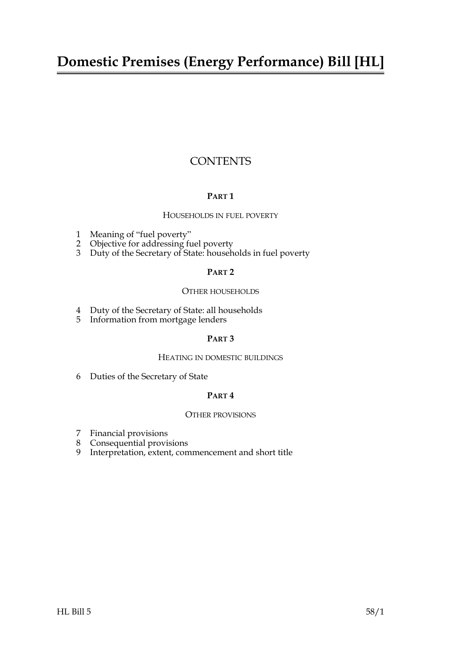### **Domestic Premises (Energy Performance) Bill [HL]**

#### **CONTENTS**

#### **PART 1**

#### HOUSEHOLDS IN FUEL POVERTY

- [1 Meaning of "fuel poverty"](#page-2-0)
- [2 Objective for addressing fuel poverty](#page-3-0)
- [3 Duty of the Secretary of State: households in fuel poverty](#page-3-1)

#### **PART 2**

#### OTHER HOUSEHOLDS

- [4 Duty of the Secretary of State: all households](#page-4-0)
- [5 Information from mortgage lenders](#page-5-0)

#### **PART 3**

#### HEATING IN DOMESTIC BUILDINGS

[6 Duties of the Secretary of State](#page-6-0)

#### **PART 4**

#### OTHER PROVISIONS

- [7 Financial provisions](#page-6-1)
- [8 Consequential provisions](#page-6-2)
- 9 [Interpretation, extent, commencement and short title](#page-7-0)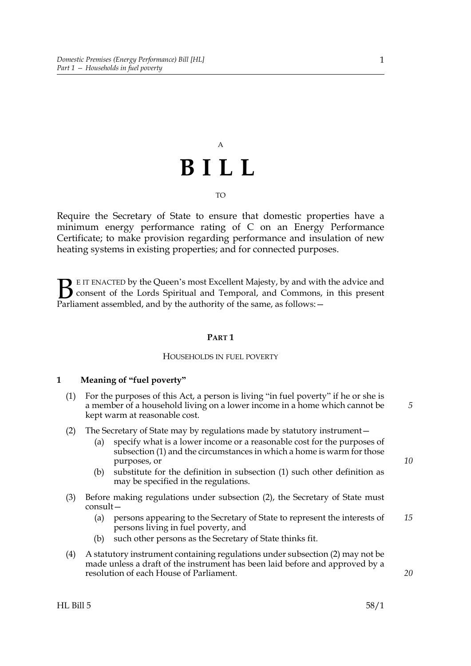# A **BILL**

TO

Require the Secretary of State to ensure that domestic properties have a minimum energy performance rating of C on an Energy Performance Certificate; to make provision regarding performance and insulation of new heating systems in existing properties; and for connected purposes.

E IT ENACTED by the Queen's most Excellent Majesty, by and with the advice and consent of the Lords Spiritual and Temporal, and Commons, in this present **B** EIT ENACTED by the Queen's most Excellent Majesty, by and with consent of the Lords Spiritual and Temporal, and Commons, Parliament assembled, and by the authority of the same, as follows:  $-$ 

#### **PART 1**

#### HOUSEHOLDS IN FUEL POVERTY

#### <span id="page-2-0"></span>**1 Meaning of "fuel poverty"**

- <span id="page-2-1"></span>(1) For the purposes of this Act, a person is living "in fuel poverty" if he or she is a member of a household living on a lower income in a home which cannot be kept warm at reasonable cost.
- <span id="page-2-2"></span>(2) The Secretary of State may by regulations made by statutory instrument—
	- (a) specify what is a lower income or a reasonable cost for the purposes of subsection [\(1\)](#page-2-1) and the circumstances in which a home is warm for those purposes, or
	- (b) substitute for the definition in subsection [\(1\)](#page-2-1) such other definition as may be specified in the regulations.
- (3) Before making regulations under subsection [\(2\),](#page-2-2) the Secretary of State must consult—
	- (a) persons appearing to the Secretary of State to represent the interests of persons living in fuel poverty, and *15*
	- (b) such other persons as the Secretary of State thinks fit.
- (4) A statutory instrument containing regulations under subsection [\(2\)](#page-2-2) may not be made unless a draft of the instrument has been laid before and approved by a resolution of each House of Parliament.

*10*

*20*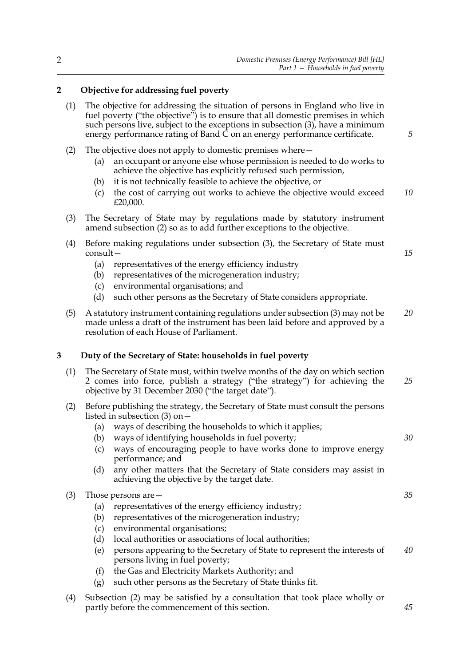#### <span id="page-3-2"></span><span id="page-3-0"></span>**2 Objective for addressing fuel poverty**

- (1) The objective for addressing the situation of persons in England who live in fuel poverty ("the objective") is to ensure that all domestic premises in which such persons live, subject to the exceptions in subsection [\(3\),](#page-3-3) have a minimum energy performance rating of Band  $\tilde{C}$  on an energy performance certificate.
- <span id="page-3-4"></span>(2) The objective does not apply to domestic premises where—
	- (a) an occupant or anyone else whose permission is needed to do works to achieve the objective has explicitly refused such permission,
	- (b) it is not technically feasible to achieve the objective, or
	- (c) the cost of carrying out works to achieve the objective would exceed £20,000. *10*
- <span id="page-3-3"></span>(3) The Secretary of State may by regulations made by statutory instrument amend subsection [\(2\)](#page-3-4) so as to add further exceptions to the objective.
- (4) Before making regulations under subsection [\(3\),](#page-3-3) the Secretary of State must consult—
	- (a) representatives of the energy efficiency industry
	- (b) representatives of the microgeneration industry;
	- (c) environmental organisations; and
	- (d) such other persons as the Secretary of State considers appropriate.
- (5) A statutory instrument containing regulations under subsection [\(3\)](#page-3-3) may not be made unless a draft of the instrument has been laid before and approved by a resolution of each House of Parliament. *20*

#### <span id="page-3-1"></span>**3 Duty of the Secretary of State: households in fuel poverty**

- (1) The Secretary of State must, within twelve months of the day on which section [2](#page-3-2) comes into force, publish a strategy ("the strategy") for achieving the objective by 31 December 2030 ("the target date"). *25*
- <span id="page-3-6"></span>(2) Before publishing the strategy, the Secretary of State must consult the persons listed in subsection [\(3\)](#page-3-5) on—
	- (a) ways of describing the households to which it applies;
	- (b) ways of identifying households in fuel poverty;
	- (c) ways of encouraging people to have works done to improve energy performance; and
	- (d) any other matters that the Secretary of State considers may assist in achieving the objective by the target date.

<span id="page-3-5"></span>

| (3) | Those persons are $-$ |
|-----|-----------------------|
|-----|-----------------------|

- (a) representatives of the energy efficiency industry;
- (b) representatives of the microgeneration industry;
- (c) environmental organisations;
- (d) local authorities or associations of local authorities;
- (e) persons appearing to the Secretary of State to represent the interests of persons living in fuel poverty; *40*
- (f) the Gas and Electricity Markets Authority; and
- (g) such other persons as the Secretary of State thinks fit.
- (4) Subsection [\(2\)](#page-3-6) may be satisfied by a consultation that took place wholly or partly before the commencement of this section.

*45*

*30*

*35*

*5*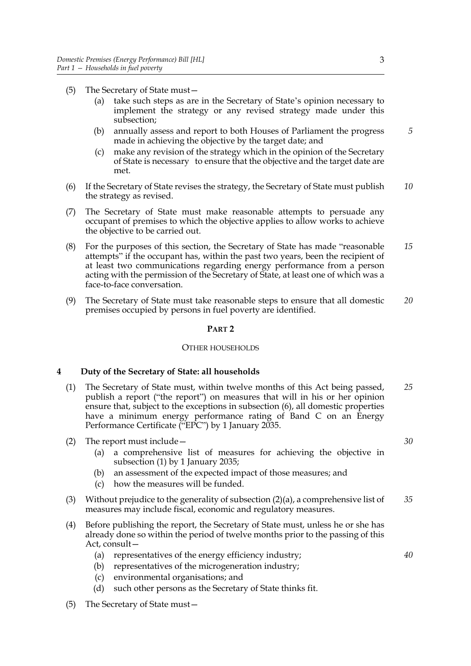- (5) The Secretary of State must—
	- (a) take such steps as are in the Secretary of State's opinion necessary to implement the strategy or any revised strategy made under this subsection;
	- (b) annually assess and report to both Houses of Parliament the progress made in achieving the objective by the target date; and
	- (c) make any revision of the strategy which in the opinion of the Secretary of State is necessary to ensure that the objective and the target date are met.
- (6) If the Secretary of State revises the strategy, the Secretary of State must publish the strategy as revised. *10*
- (7) The Secretary of State must make reasonable attempts to persuade any occupant of premises to which the objective applies to allow works to achieve the objective to be carried out.
- (8) For the purposes of this section, the Secretary of State has made "reasonable attempts" if the occupant has, within the past two years, been the recipient of at least two communications regarding energy performance from a person acting with the permission of the Secretary of State, at least one of which was a face-to-face conversation. *15*
- (9) The Secretary of State must take reasonable steps to ensure that all domestic premises occupied by persons in fuel poverty are identified. *20*

#### **PART 2**

#### OTHER HOUSEHOLDS

#### <span id="page-4-0"></span>**4 Duty of the Secretary of State: all households**

- <span id="page-4-1"></span>(1) The Secretary of State must, within twelve months of this Act being passed, publish a report ("the report") on measures that will in his or her opinion ensure that, subject to the exceptions in subsection [\(6\),](#page-5-1) all domestic properties have a minimum energy performance rating of Band C on an Energy Performance Certificate ("EPC") by 1 January 2035. *25*
- <span id="page-4-2"></span>(2) The report must include—
	- (a) a comprehensive list of measures for achieving the objective in subsection [\(1\)](#page-4-1) by 1 January 2035;
	- (b) an assessment of the expected impact of those measures; and
	- (c) how the measures will be funded.
- (3) Without prejudice to the generality of subsection [\(2\)\(a\)](#page-4-2), a comprehensive list of measures may include fiscal, economic and regulatory measures. *35*
- (4) Before publishing the report, the Secretary of State must, unless he or she has already done so within the period of twelve months prior to the passing of this Act, consult—
	- (a) representatives of the energy efficiency industry;
	- (b) representatives of the microgeneration industry;
	- (c) environmental organisations; and
	- (d) such other persons as the Secretary of State thinks fit.
- (5) The Secretary of State must—

*5*

*30*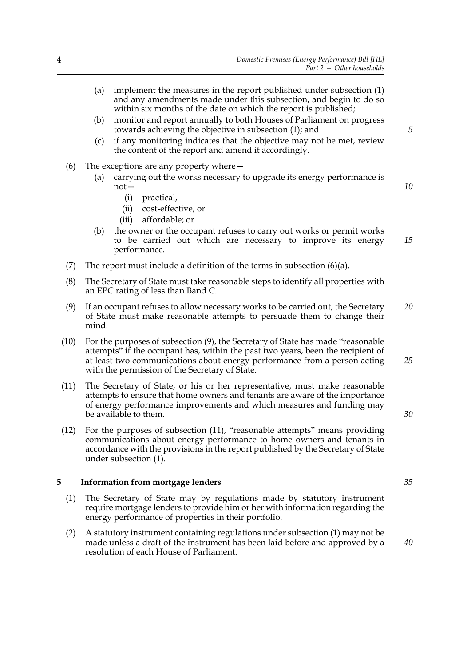- <span id="page-5-2"></span><span id="page-5-1"></span>*Part 2 — Other households* (a) implement the measures in the report published under subsection [\(1\)](#page-4-1) and any amendments made under this subsection, and begin to do so within six months of the date on which the report is published; (b) monitor and report annually to both Houses of Parliament on progress towards achieving the objective in subsection [\(1\);](#page-4-1) and (c) if any monitoring indicates that the objective may not be met, review the content of the report and amend it accordingly. (6) The exceptions are any property where— (a) carrying out the works necessary to upgrade its energy performance is not— (i) practical, (ii) cost-effective, or (iii) affordable; or (b) the owner or the occupant refuses to carry out works or permit works to be carried out which are necessary to improve its energy performance. (7) The report must include a definition of the terms in subsection  $(6)(a)$ . (8) The Secretary of State must take reasonable steps to identify all properties with an EPC rating of less than Band C. (9) If an occupant refuses to allow necessary works to be carried out, the Secretary of State must make reasonable attempts to persuade them to change their mind. (10) For the purposes of subsection [\(9\),](#page-5-3) the Secretary of State has made "reasonable attempts" if the occupant has, within the past two years, been the recipient of at least two communications about energy performance from a person acting with the permission of the Secretary of State. (11) The Secretary of State, or his or her representative, must make reasonable attempts to ensure that home owners and tenants are aware of the importance *5 10 15 20 25*
	- *30*

(12) For the purposes of subsection [\(11\)](#page-5-4), "reasonable attempts" means providing communications about energy performance to home owners and tenants in accordance with the provisions in the report published by the Secretary of State under subsection [\(1\).](#page-4-1)

<span id="page-5-4"></span><span id="page-5-3"></span>of energy performance improvements and which measures and funding may

#### <span id="page-5-0"></span>**5 Information from mortgage lenders**

be available to them.

- <span id="page-5-5"></span>(1) The Secretary of State may by regulations made by statutory instrument require mortgage lenders to provide him or her with information regarding the energy performance of properties in their portfolio.
- (2) A statutory instrument containing regulations under subsection [\(1\)](#page-5-5) may not be made unless a draft of the instrument has been laid before and approved by a resolution of each House of Parliament.

*40*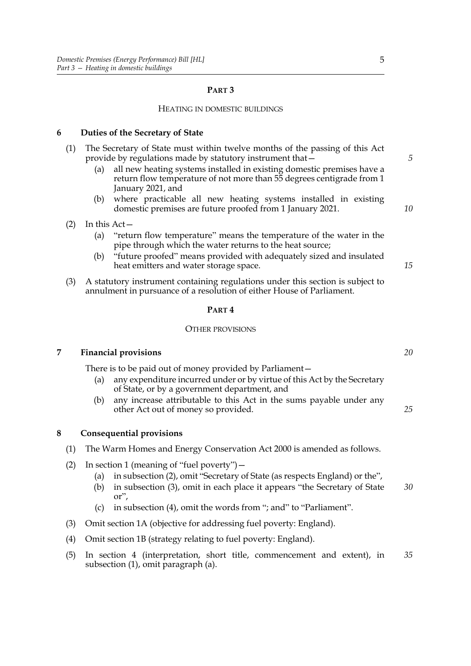#### **PART 3**

#### HEATING IN DOMESTIC BUILDINGS

#### <span id="page-6-0"></span>**6 Duties of the Secretary of State**

| (1) |     | The Secretary of State must within twelve months of the passing of this Act<br>provide by regulations made by statutory instrument that -                            | 5  |
|-----|-----|----------------------------------------------------------------------------------------------------------------------------------------------------------------------|----|
|     | (a) | all new heating systems installed in existing domestic premises have a<br>return flow temperature of not more than 55 degrees centigrade from 1<br>January 2021, and |    |
|     |     | (b) where practicable all new heating systems installed in existing<br>domestic premises are future proofed from 1 January 2021.                                     | 10 |
|     |     | In this $Act-$                                                                                                                                                       |    |
|     | (a) | "return flow temperature" means the temperature of the water in the<br>pipe through which the water returns to the heat source;                                      |    |
|     | (b) | "future proofed" means provided with adequately sized and insulated                                                                                                  |    |

- led with adequately sized and insulated heat emitters and water storage space.
- (3) A statutory instrument containing regulations under this section is subject to annulment in pursuance of a resolution of either House of Parliament.

#### **PART 4**

#### OTHER PROVISIONS

#### **7 Financial provisions**

<span id="page-6-1"></span>There is to be paid out of money provided by Parliament—

- (a) any expenditure incurred under or by virtue of this Act by the Secretary of State, or by a government department, and
- (b) any increase attributable to this Act in the sums payable under any other Act out of money so provided.

#### <span id="page-6-2"></span>**8 Consequential provisions**

- (1) The Warm Homes and Energy Conservation Act 2000 is amended as follows.
- (2) In section 1 (meaning of "fuel poverty")—
	- (a) in subsection (2), omit "Secretary of State (as respects England) or the",
	- (b) in subsection (3), omit in each place it appears "the Secretary of State or", *30*
	- (c) in subsection (4), omit the words from "; and" to "Parliament".
- (3) Omit section 1A (objective for addressing fuel poverty: England).
- (4) Omit section 1B (strategy relating to fuel poverty: England).
- (5) In section 4 (interpretation, short title, commencement and extent), in subsection (1), omit paragraph (a). *35*

*20*

*25*

*15*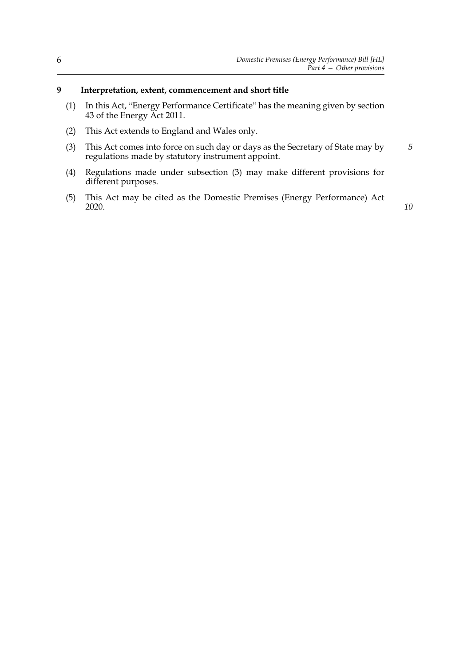#### <span id="page-7-0"></span>**9 Interpretation, extent, commencement and short title**

- (1) In this Act, "Energy Performance Certificate" has the meaning given by section 43 of the Energy Act 2011.
- (2) This Act extends to England and Wales only.
- <span id="page-7-1"></span>(3) This Act comes into force on such day or days as the Secretary of State may by regulations made by statutory instrument appoint. *5*
- (4) Regulations made under subsection [\(3\)](#page-7-1) may make different provisions for different purposes.
- (5) This Act may be cited as the Domestic Premises (Energy Performance) Act 2020.